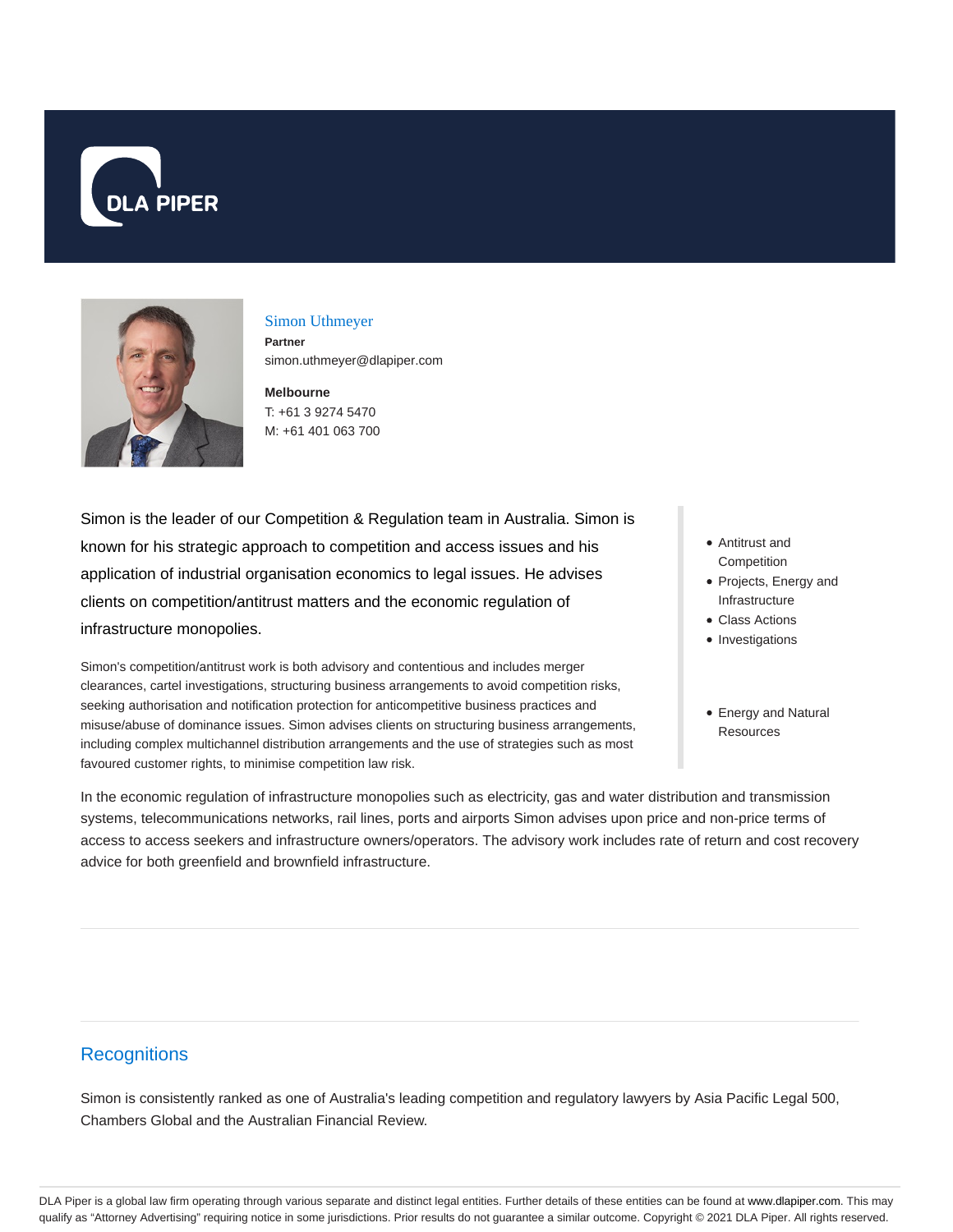



#### Simon Uthmeyer

**Partner** simon.uthmeyer@dlapiper.com

**Melbourne** T: +61 3 9274 5470 M: +61 401 063 700

Simon is the leader of our Competition & Regulation team in Australia. Simon is known for his strategic approach to competition and access issues and his application of industrial organisation economics to legal issues. He advises clients on competition/antitrust matters and the economic regulation of infrastructure monopolies.

Simon's competition/antitrust work is both advisory and contentious and includes merger clearances, cartel investigations, structuring business arrangements to avoid competition risks, seeking authorisation and notification protection for anticompetitive business practices and misuse/abuse of dominance issues. Simon advises clients on structuring business arrangements, including complex multichannel distribution arrangements and the use of strategies such as most favoured customer rights, to minimise competition law risk.

- Antitrust and Competition
- Projects, Energy and Infrastructure
- Class Actions
- Investigations
- Energy and Natural **Resources**

In the economic regulation of infrastructure monopolies such as electricity, gas and water distribution and transmission systems, telecommunications networks, rail lines, ports and airports Simon advises upon price and non-price terms of access to access seekers and infrastructure owners/operators. The advisory work includes rate of return and cost recovery advice for both greenfield and brownfield infrastructure.

## **Recognitions**

Simon is consistently ranked as one of Australia's leading competition and regulatory lawyers by Asia Pacific Legal 500, Chambers Global and the Australian Financial Review.

DLA Piper is a global law firm operating through various separate and distinct legal entities. Further details of these entities can be found at www.dlapiper.com. This may qualify as "Attorney Advertising" requiring notice in some jurisdictions. Prior results do not guarantee a similar outcome. Copyright © 2021 DLA Piper. All rights reserved.